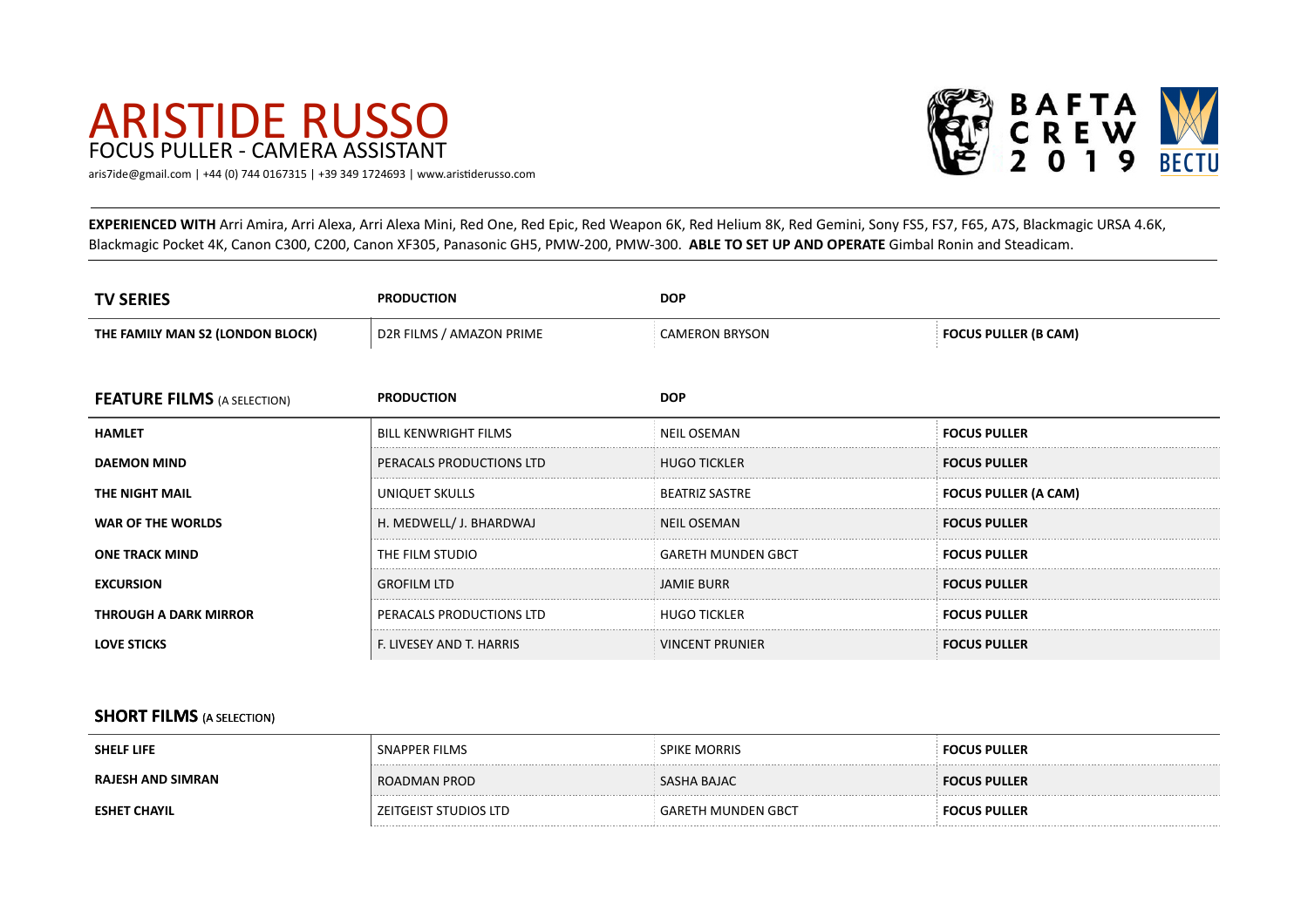# ARISTIDE RUSSO FOCUS PULLER - CAMERA ASSISTANT



[aris7ide@gmail.com](mailto:aris7ide@gmail.com) | +44 (0) 744 0167315 | +39 349 1724693 | www.aristiderusso.com

**EXPERIENCED WITH** Arri Amira, Arri Alexa, Arri Alexa Mini, Red One, Red Epic, Red Weapon 6K, Red Helium 8K, Red Gemini, Sony FS5, FS7, F65, A7S, Blackmagic URSA 4.6K, Blackmagic Pocket 4K, Canon C300, C200, Canon XF305, Panasonic GH5, PMW-200, PMW-300. ABLE TO SET UP AND OPERATE Gimbal Ronin and Steadicam.

| <b>TV SERIES</b>                   | <b>PRODUCTION</b>           | <b>DOP</b>                |                             |
|------------------------------------|-----------------------------|---------------------------|-----------------------------|
| THE FAMILY MAN S2 (LONDON BLOCK)   | D2R FILMS / AMAZON PRIME    | <b>CAMERON BRYSON</b>     | <b>FOCUS PULLER (B CAM)</b> |
|                                    |                             |                           |                             |
| <b>FEATURE FILMS</b> (A SELECTION) | <b>PRODUCTION</b>           | <b>DOP</b>                |                             |
| <b>HAMLET</b>                      | <b>BILL KENWRIGHT FILMS</b> | <b>NEIL OSEMAN</b>        | <b>FOCUS PULLER</b>         |
| <b>DAEMON MIND</b>                 | PERACALS PRODUCTIONS LTD    | <b>HUGO TICKLER</b>       | <b>FOCUS PULLER</b>         |
| THE NIGHT MAIL                     | UNIQUET SKULLS              | <b>BEATRIZ SASTRE</b>     | <b>FOCUS PULLER (A CAM)</b> |
| WAR OF THE WORLDS                  | H. MEDWELL/ J. BHARDWAJ     | NEIL OSEMAN               | <b>FOCUS PULLER</b>         |
| <b>ONE TRACK MIND</b>              | THE FILM STUDIO             | <b>GARETH MUNDEN GBCT</b> | <b>FOCUS PULLER</b>         |
| <b>EXCURSION</b>                   | <b>GROFILM LTD</b>          | JAMIE BURR                | <b>FOCUS PULLER</b>         |
| <b>THROUGH A DARK MIRROR</b>       | PERACALS PRODUCTIONS LTD    | <b>HUGO TICKLER</b>       | <b>FOCUS PULLER</b>         |
| <b>LOVE STICKS</b>                 | F. LIVESEY AND T. HARRIS    | <b>VINCENT PRUNIER</b>    | <b>FOCUS PULLER</b>         |

#### **SHORT FILMS** (A SELECTION)

| <b>SHELF LIFE</b>   | SNAPPER FILMS           | <b>SPIKE MORRIS</b>       | <b>FOCUS PULLER</b> |
|---------------------|-------------------------|---------------------------|---------------------|
| RAJESH AND SIMRAN   | ROADMAN PROD            | SASHA BAJAC               | <b>FOCUS PULLER</b> |
| <b>ESHET CHAYIL</b> | ` ZEITGEIST STUDIOS LTD | <b>GARETH MUNDEN GBCT</b> | <b>FOCUS PULLER</b> |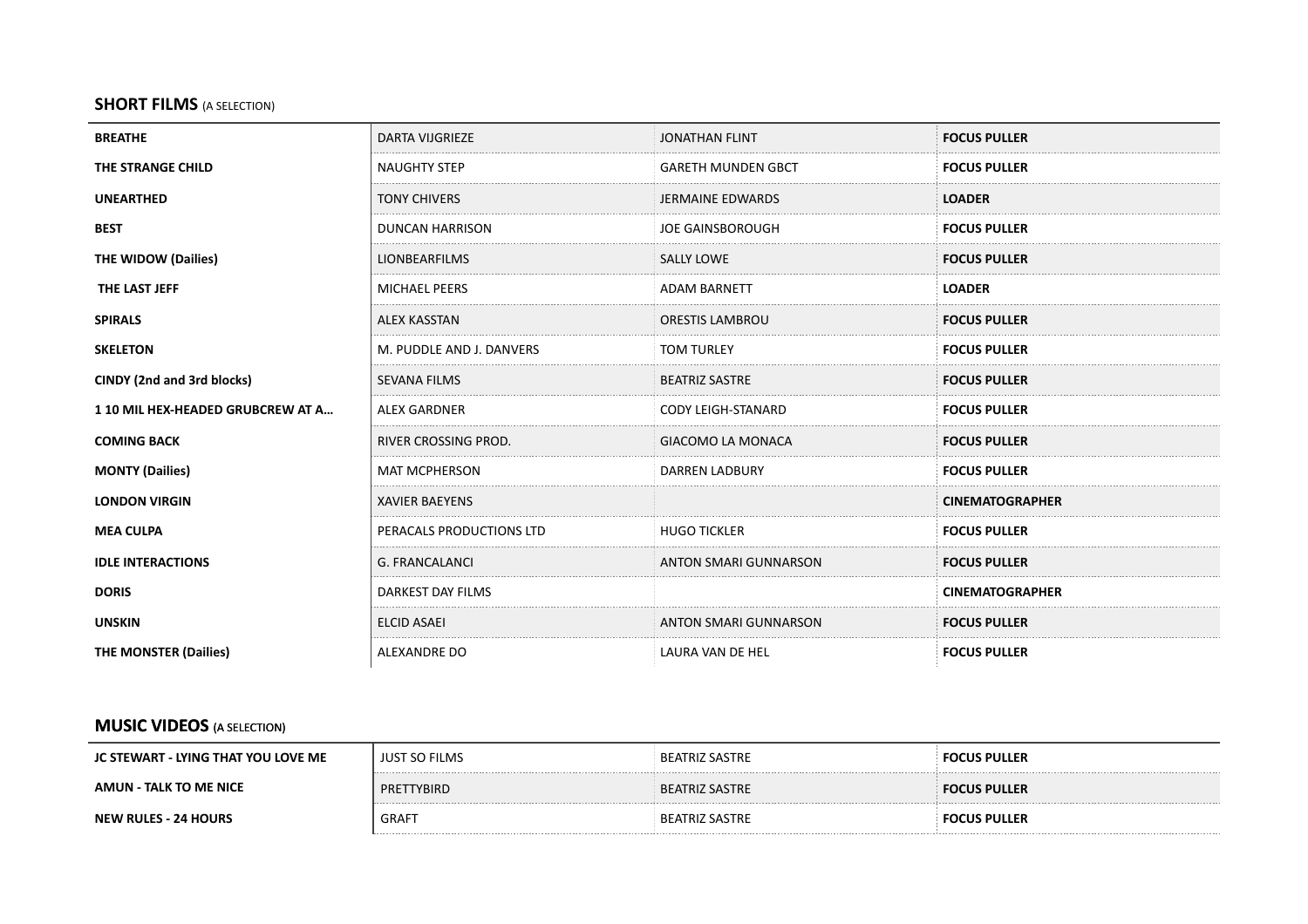#### **SHORT FILMS** (A SELECTION)

| <b>BREATHE</b>                   | <b>DARTA VIJGRIEZE</b>   | <b>JONATHAN FLINT</b>        | <b>FOCUS PULLER</b>    |
|----------------------------------|--------------------------|------------------------------|------------------------|
| THE STRANGE CHILD                | <b>NAUGHTY STEP</b>      | <b>GARETH MUNDEN GBCT</b>    | <b>FOCUS PULLER</b>    |
| <b>UNEARTHED</b>                 | <b>TONY CHIVERS</b>      | JERMAINE EDWARDS             | <b>LOADER</b>          |
| <b>BEST</b>                      | <b>DUNCAN HARRISON</b>   | <b>JOE GAINSBOROUGH</b>      | <b>FOCUS PULLER</b>    |
| <b>THE WIDOW (Dailies)</b>       | <b>LIONBEARFILMS</b>     | <b>SALLY LOWE</b>            | <b>FOCUS PULLER</b>    |
| THE LAST JEFF                    | <b>MICHAEL PEERS</b>     | <b>ADAM BARNETT</b>          | <b>LOADER</b>          |
| <b>SPIRALS</b>                   | <b>ALEX KASSTAN</b>      | ORESTIS LAMBROU              | <b>FOCUS PULLER</b>    |
| <b>SKELETON</b>                  | M. PUDDLE AND J. DANVERS | <b>TOM TURLEY</b>            | <b>FOCUS PULLER</b>    |
| CINDY (2nd and 3rd blocks)       | <b>SEVANA FILMS</b>      | <b>BEATRIZ SASTRE</b>        | <b>FOCUS PULLER</b>    |
| 110 MIL HEX-HEADED GRUBCREW AT A | <b>ALEX GARDNER</b>      | <b>CODY LEIGH-STANARD</b>    | <b>FOCUS PULLER</b>    |
| <b>COMING BACK</b>               | RIVER CROSSING PROD.     | <b>GIACOMO LA MONACA</b>     | <b>FOCUS PULLER</b>    |
| <b>MONTY (Dailies)</b>           | <b>MAT MCPHERSON</b>     | <b>DARREN LADBURY</b>        | <b>FOCUS PULLER</b>    |
| <b>LONDON VIRGIN</b>             | <b>XAVIER BAEYENS</b>    |                              | <b>CINEMATOGRAPHER</b> |
| <b>MEA CULPA</b>                 | PERACALS PRODUCTIONS LTD | <b>HUGO TICKLER</b>          | <b>FOCUS PULLER</b>    |
| <b>IDLE INTERACTIONS</b>         | G. FRANCALANCI           | ANTON SMARI GUNNARSON        | <b>FOCUS PULLER</b>    |
| <b>DORIS</b>                     | DARKEST DAY FILMS        |                              | <b>CINEMATOGRAPHER</b> |
| <b>UNSKIN</b>                    | <b>ELCID ASAEI</b>       | <b>ANTON SMARI GUNNARSON</b> | <b>FOCUS PULLER</b>    |
| <b>THE MONSTER (Dailies)</b>     | ALEXANDRE DO             | LAURA VAN DE HEL             | <b>FOCUS PULLER</b>    |

### **MUSIC VIDEOS** (A SELECTION)

| JC STEWART - LYING THAT YOU LOVE ME | <b>JUST SO FILMS</b> | BEATRIZ SASTRE | <b>FOCUS PULLER</b> |
|-------------------------------------|----------------------|----------------|---------------------|
| AMUN - TALK TO ME NICE              | PRETTYBIRD           | BEATRIZ SASTRE | <b>FOCUS PULLER</b> |
| <b>NEW RULES - 24 HOURS</b>         | <b>GRAFT</b>         | BEATRIZ SASTRE | <b>FOCUS PULLER</b> |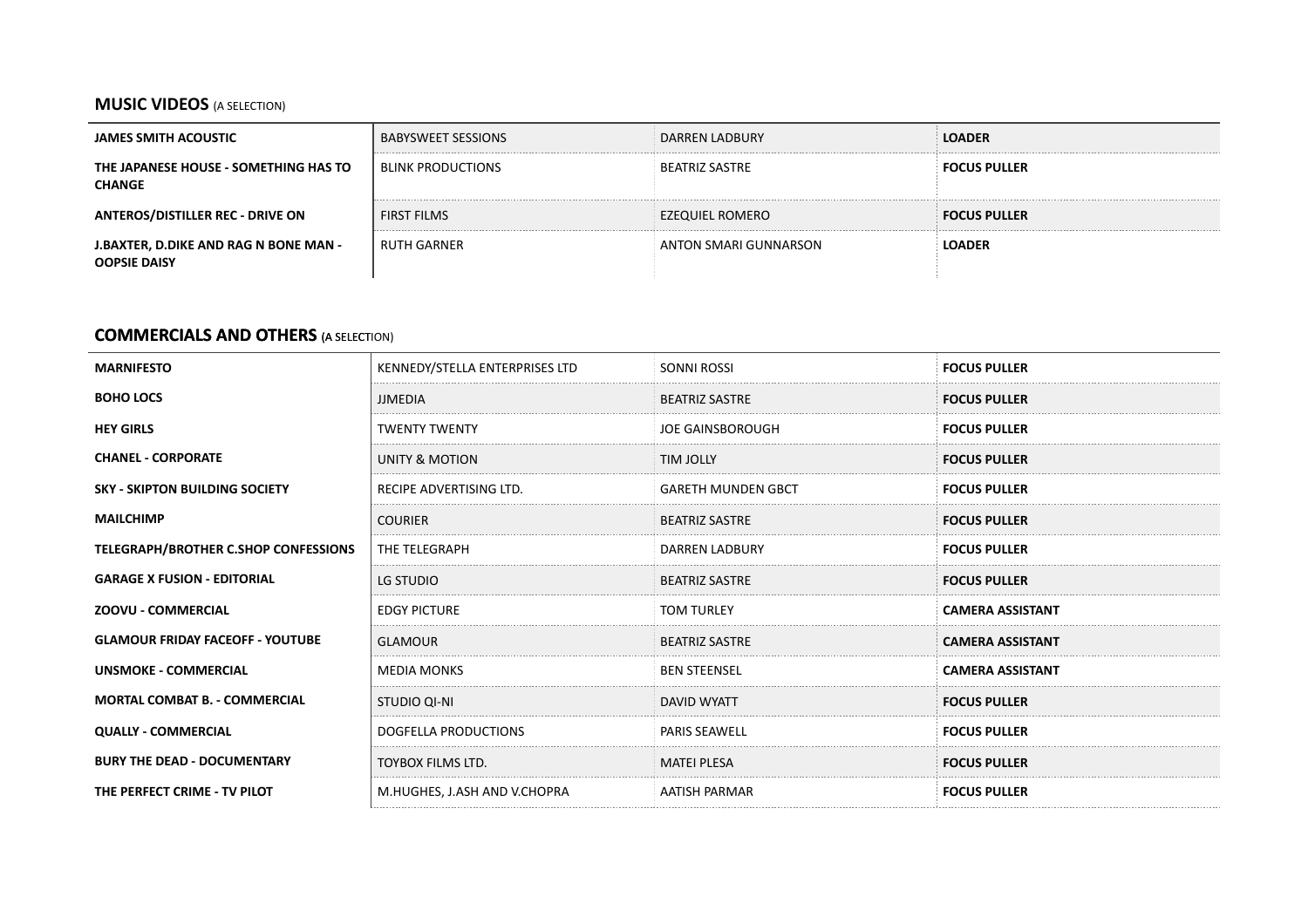## **MUSIC VIDEOS** (A SELECTION)

| JAMES SMITH ACOUSTIC                                         | <b>BABYSWEET SESSIONS</b> | <b>DARREN LADBURY</b> | OADER.                             |
|--------------------------------------------------------------|---------------------------|-----------------------|------------------------------------|
| THE JAPANESE HOUSE - SOMETHING HAS TO<br><b>CHANGE</b>       | <b>BLINK PRODUCTIONS</b>  | <b>BEATRIZ SASTRE</b> | $^{\circ}$ FOCUS PULLER $^{\circ}$ |
| <b>ANTEROS/DISTILLER REC - DRIVE ON</b>                      | <b>FIRST FILMS</b>        | EZEQUIEL ROMERO       | <b>FOCUS PULLER</b>                |
| J.BAXTER, D.DIKE AND RAG N BONE MAN -<br><b>OOPSIE DAISY</b> | <b>RUTH GARNER</b>        | ANTON SMARI GUNNARSON | LOADER                             |

#### **COMMERCIALS AND OTHERS** (A SELECTION)

| <b>MARNIFESTO</b>                       | KENNEDY/STELLA ENTERPRISES LTD | <b>SONNI ROSSI</b>        | <b>FOCUS PULLER</b>     |
|-----------------------------------------|--------------------------------|---------------------------|-------------------------|
| <b>BOHO LOCS</b>                        | <b>JJMEDIA</b>                 | <b>BEATRIZ SASTRE</b>     | <b>FOCUS PULLER</b>     |
| <b>HEY GIRLS</b>                        | <b>TWENTY TWENTY</b>           | JOE GAINSBOROUGH          | <b>FOCUS PULLER</b>     |
| <b>CHANEL - CORPORATE</b>               | UNITY & MOTION                 | <b>TIM JOLLY</b>          | <b>FOCUS PULLER</b>     |
| <b>SKY - SKIPTON BUILDING SOCIETY</b>   | RECIPE ADVERTISING LTD.        | <b>GARETH MUNDEN GBCT</b> | <b>FOCUS PULLER</b>     |
| <b>MAILCHIMP</b>                        | <b>COURIER</b>                 | <b>BEATRIZ SASTRE</b>     | <b>FOCUS PULLER</b>     |
| TELEGRAPH/BROTHER C.SHOP CONFESSIONS    | <b>THE TELEGRAPH</b>           | DARREN LADBURY            | <b>FOCUS PULLER</b>     |
| <b>GARAGE X FUSION - EDITORIAL</b>      | LG STUDIO                      | <b>BEATRIZ SASTRE</b>     | <b>FOCUS PULLER</b>     |
| <b>ZOOVU - COMMERCIAL</b>               | <b>EDGY PICTURE</b>            | <b>TOM TURLEY</b>         | <b>CAMERA ASSISTANT</b> |
| <b>GLAMOUR FRIDAY FACEOFF - YOUTUBE</b> | <b>GLAMOUR</b>                 | <b>BEATRIZ SASTRE</b>     | <b>CAMERA ASSISTANT</b> |
| <b>UNSMOKE - COMMERCIAL</b>             | <b>MEDIA MONKS</b>             | <b>BEN STEENSEL</b>       | <b>CAMERA ASSISTANT</b> |
| <b>MORTAL COMBAT B. - COMMERCIAL</b>    | STUDIO QI-NI                   | <b>DAVID WYATT</b>        | <b>FOCUS PULLER</b>     |
| <b>QUALLY - COMMERCIAL</b>              | DOGFELLA PRODUCTIONS           | <b>PARIS SEAWELL</b>      | <b>FOCUS PULLER</b>     |
| <b>BURY THE DEAD - DOCUMENTARY</b>      | TOYBOX FILMS LTD.              | <b>MATEI PLESA</b>        | <b>FOCUS PULLER</b>     |
| THE PERFECT CRIME - TV PILOT            | M.HUGHES, J.ASH AND V.CHOPRA   | AATISH PARMAR             | <b>FOCUS PULLER</b>     |